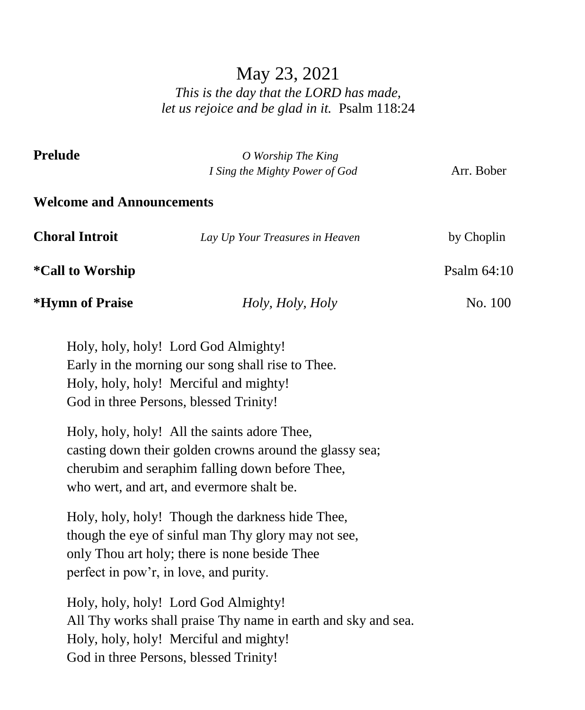# May 23, 2021 *This is the day that the LORD has made, let us rejoice and be glad in it.* Psalm 118:24

| <b>Prelude</b>                   | O Worship The King<br>I Sing the Mighty Power of God                                                                                                                                                                                                                                                                                                                                     |             |  |
|----------------------------------|------------------------------------------------------------------------------------------------------------------------------------------------------------------------------------------------------------------------------------------------------------------------------------------------------------------------------------------------------------------------------------------|-------------|--|
| <b>Welcome and Announcements</b> |                                                                                                                                                                                                                                                                                                                                                                                          |             |  |
| <b>Choral Introit</b>            | Lay Up Your Treasures in Heaven                                                                                                                                                                                                                                                                                                                                                          | by Choplin  |  |
| <i><b>*Call to Worship</b></i>   |                                                                                                                                                                                                                                                                                                                                                                                          | Psalm 64:10 |  |
| <i><b>*Hymn of Praise</b></i>    | Holy, Holy, Holy                                                                                                                                                                                                                                                                                                                                                                         | No. 100     |  |
|                                  | Holy, holy, holy! Lord God Almighty!<br>Early in the morning our song shall rise to Thee.<br>Holy, holy, holy! Merciful and mighty!<br>God in three Persons, blessed Trinity!<br>Holy, holy, holy! All the saints adore Thee,<br>casting down their golden crowns around the glassy sea;<br>cherubim and seraphim falling down before Thee,<br>who wert, and art, and evermore shalt be. |             |  |
|                                  | Holy, holy, holy! Though the darkness hide Thee,<br>though the eye of sinful man Thy glory may not see,<br>only Thou art holy; there is none beside Thee<br>perfect in pow'r, in love, and purity.                                                                                                                                                                                       |             |  |
|                                  | Holy, holy, holy! Lord God Almighty!<br>All Thy works shall praise Thy name in earth and sky and sea.<br>Holy, holy, holy! Merciful and mighty!<br>God in three Persons, blessed Trinity!                                                                                                                                                                                                |             |  |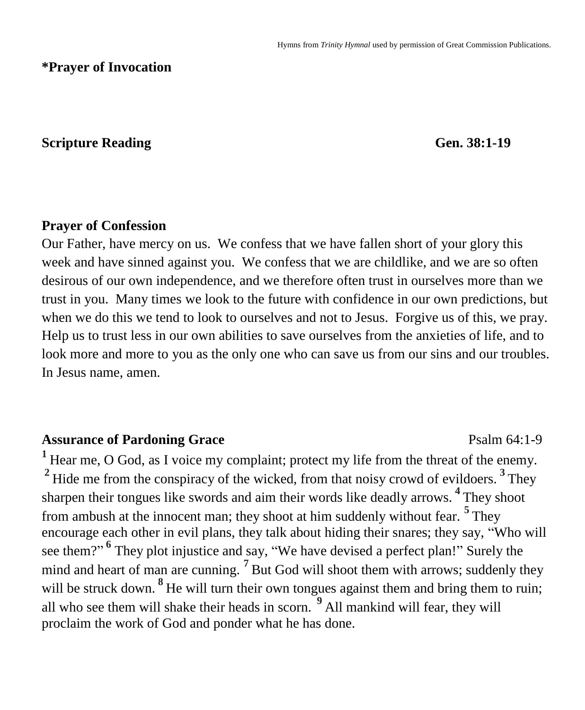### **\*Prayer of Invocation**

## **Scripture Reading General Contract Contract Contract Contract Contract Contract Contract Contract Contract Contract Contract Contract Contract Contract Contract Contract Contract Contract Contract Contract Contract Contra**

### **Prayer of Confession**

Our Father, have mercy on us. We confess that we have fallen short of your glory this week and have sinned against you. We confess that we are childlike, and we are so often desirous of our own independence, and we therefore often trust in ourselves more than we trust in you. Many times we look to the future with confidence in our own predictions, but when we do this we tend to look to ourselves and not to Jesus. Forgive us of this, we pray. Help us to trust less in our own abilities to save ourselves from the anxieties of life, and to look more and more to you as the only one who can save us from our sins and our troubles. In Jesus name, amen.

## Assurance of Pardoning Grace **Property** Psalm 64:1-9

<sup>1</sup> Hear me, O God, as I voice my complaint; protect my life from the threat of the enemy. <sup>2</sup>Hide me from the conspiracy of the wicked, from that noisy crowd of evildoers. <sup>3</sup>They sharpen their tongues like swords and aim their words like deadly arrows. **<sup>4</sup>** They shoot from ambush at the innocent man; they shoot at him suddenly without fear. **<sup>5</sup>**They encourage each other in evil plans, they talk about hiding their snares; they say, "Who will see them?"<sup>6</sup> They plot injustice and say, "We have devised a perfect plan!" Surely the mind and heart of man are cunning.<sup>7</sup> But God will shoot them with arrows; suddenly they will be struck down. <sup>8</sup> He will turn their own tongues against them and bring them to ruin; all who see them will shake their heads in scorn. **<sup>9</sup>** All mankind will fear, they will proclaim the work of God and ponder what he has done.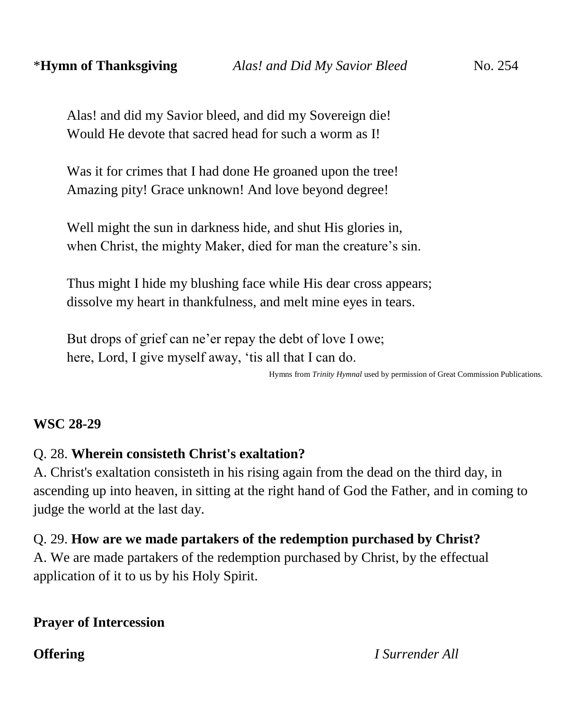Alas! and did my Savior bleed, and did my Sovereign die! Would He devote that sacred head for such a worm as I!

Was it for crimes that I had done He groaned upon the tree! Amazing pity! Grace unknown! And love beyond degree!

Well might the sun in darkness hide, and shut His glories in, when Christ, the mighty Maker, died for man the creature's sin.

Thus might I hide my blushing face while His dear cross appears; dissolve my heart in thankfulness, and melt mine eyes in tears.

But drops of grief can ne'er repay the debt of love I owe; here, Lord, I give myself away, 'tis all that I can do.

Hymns from *Trinity Hymnal* used by permission of Great Commission Publications.

## **WSC 28-29**

## Q. 28. **Wherein consisteth Christ's exaltation?**

A. Christ's exaltation consisteth in his rising again from the dead on the third day, in ascending up into heaven, in sitting at the right hand of God the Father, and in coming to judge the world at the last day.

## Q. 29. **How are we made partakers of the redemption purchased by Christ?**

A. We are made partakers of the redemption purchased by Christ, by the effectual application of it to us by his Holy Spirit.

## **Prayer of Intercession**

**Offering** *I Surrender All*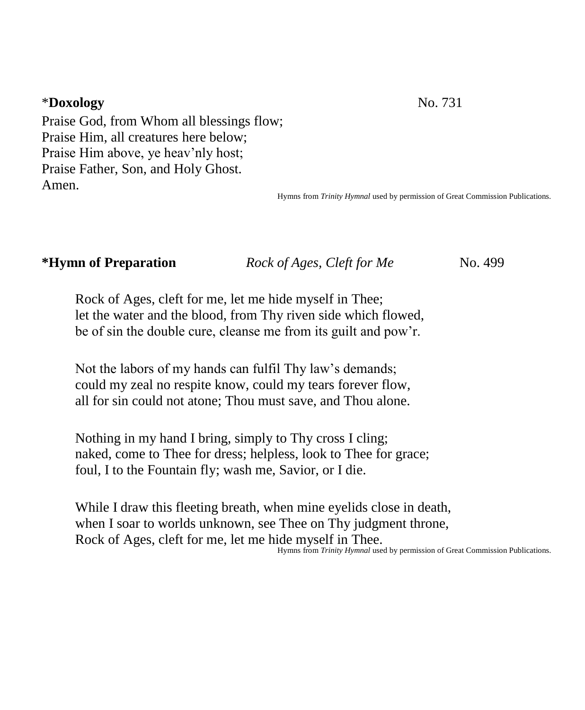## \***Doxology** No. 731

Praise God, from Whom all blessings flow; Praise Him, all creatures here below; Praise Him above, ye heav'nly host; Praise Father, Son, and Holy Ghost. Amen.

Hymns from *Trinity Hymnal* used by permission of Great Commission Publications.

## **\*Hymn of Preparation** *Rock of Ages, Cleft for Me* No. 499

Rock of Ages, cleft for me, let me hide myself in Thee; let the water and the blood, from Thy riven side which flowed, be of sin the double cure, cleanse me from its guilt and pow'r.

Not the labors of my hands can fulfil Thy law's demands; could my zeal no respite know, could my tears forever flow, all for sin could not atone; Thou must save, and Thou alone.

Nothing in my hand I bring, simply to Thy cross I cling; naked, come to Thee for dress; helpless, look to Thee for grace; foul, I to the Fountain fly; wash me, Savior, or I die.

While I draw this fleeting breath, when mine eyelids close in death, when I soar to worlds unknown, see Thee on Thy judgment throne, Rock of Ages, cleft for me, let me hide myself in Thee.

Hymns from *Trinity Hymnal* used by permission of Great Commission Publications.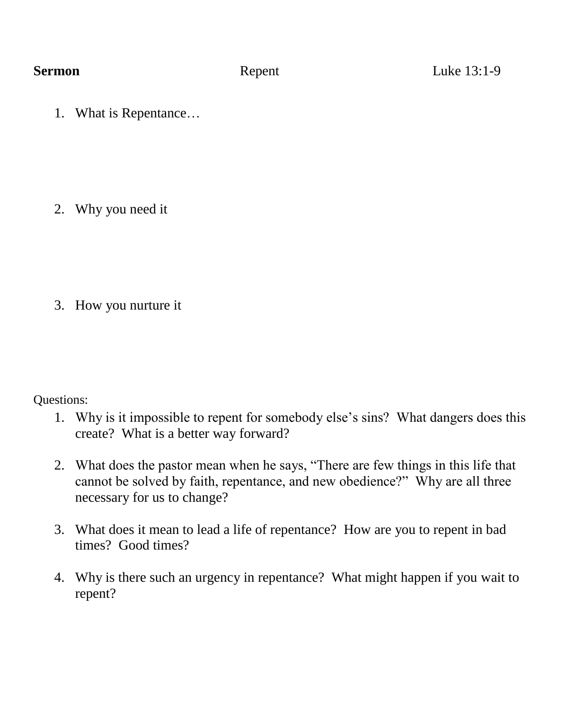1. What is Repentance…

2. Why you need it

3. How you nurture it

Questions:

- 1. Why is it impossible to repent for somebody else's sins? What dangers does this create? What is a better way forward?
- 2. What does the pastor mean when he says, "There are few things in this life that cannot be solved by faith, repentance, and new obedience?" Why are all three necessary for us to change?
- 3. What does it mean to lead a life of repentance? How are you to repent in bad times? Good times?
- 4. Why is there such an urgency in repentance? What might happen if you wait to repent?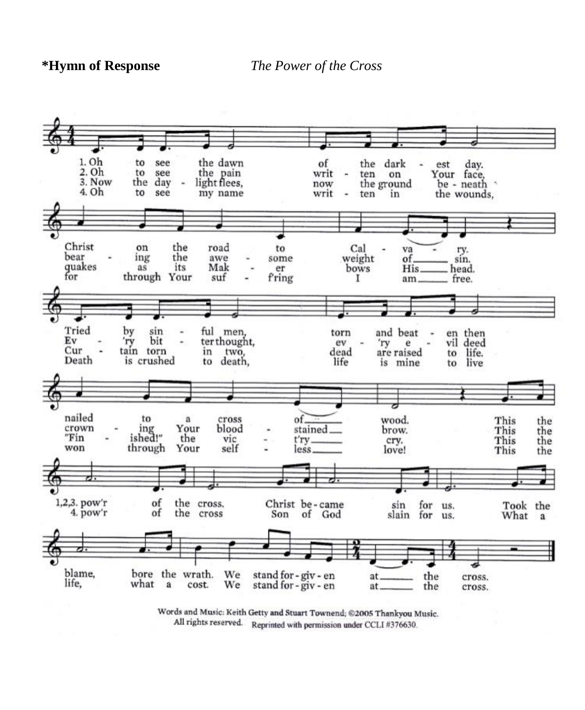

Words and Music: Keith Getty and Stuart Townend; ©2005 Thankyou Music. All rights reserved. Reprinted with permission under CCLI #376630.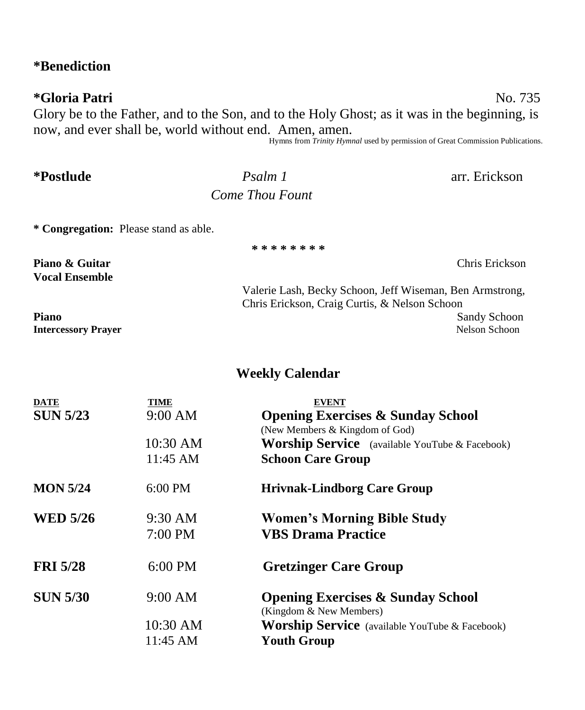| now, and ever shall be, world without end. Amen, amen. |                                                                                                           | Glory be to the Father, and to the Son, and to the Holy Ghost; as it was in the beginning, is<br>Hymns from Trinity Hymnal used by permission of Great Commission Publications. |  |
|--------------------------------------------------------|-----------------------------------------------------------------------------------------------------------|---------------------------------------------------------------------------------------------------------------------------------------------------------------------------------|--|
| *Postlude                                              | Psalm 1                                                                                                   | arr. Erickson                                                                                                                                                                   |  |
|                                                        |                                                                                                           |                                                                                                                                                                                 |  |
| * Congregation: Please stand as able.                  |                                                                                                           |                                                                                                                                                                                 |  |
|                                                        | * * * * * * * *                                                                                           |                                                                                                                                                                                 |  |
| Piano & Guitar<br><b>Vocal Ensemble</b>                |                                                                                                           | Chris Erickson                                                                                                                                                                  |  |
|                                                        | Valerie Lash, Becky Schoon, Jeff Wiseman, Ben Armstrong,<br>Chris Erickson, Craig Curtis, & Nelson Schoon |                                                                                                                                                                                 |  |
| Piano<br><b>Intercessory Prayer</b>                    |                                                                                                           | Sandy Schoon<br>Nelson Schoon                                                                                                                                                   |  |

**\*Gloria Patri** No. 735

**\*Benediction** 

## **Weekly Calendar**

| <b>DATE</b><br><b>SUN 5/23</b> | TIME<br>9:00 AM   | <b>EVENT</b><br><b>Opening Exercises &amp; Sunday School</b><br>(New Members & Kingdom of God) |  |  |
|--------------------------------|-------------------|------------------------------------------------------------------------------------------------|--|--|
|                                | 10:30 AM          | <b>Worship Service</b> (available YouTube & Facebook)                                          |  |  |
|                                | $11:45$ AM        | <b>Schoon Care Group</b>                                                                       |  |  |
| <b>MON 5/24</b>                | $6:00 \text{ PM}$ | <b>Hrivnak-Lindborg Care Group</b>                                                             |  |  |
| <b>WED 5/26</b>                | $9:30 \text{ AM}$ | <b>Women's Morning Bible Study</b>                                                             |  |  |
|                                | 7:00 PM           | <b>VBS Drama Practice</b>                                                                      |  |  |
| <b>FRI 5/28</b>                | $6:00$ PM         | <b>Gretzinger Care Group</b>                                                                   |  |  |
| <b>SUN 5/30</b>                | 9:00 AM           | <b>Opening Exercises &amp; Sunday School</b><br>(Kingdom & New Members)                        |  |  |
|                                | $10:30$ AM        | <b>Worship Service</b> (available YouTube & Facebook)                                          |  |  |
|                                | $11:45$ AM        | <b>Youth Group</b>                                                                             |  |  |